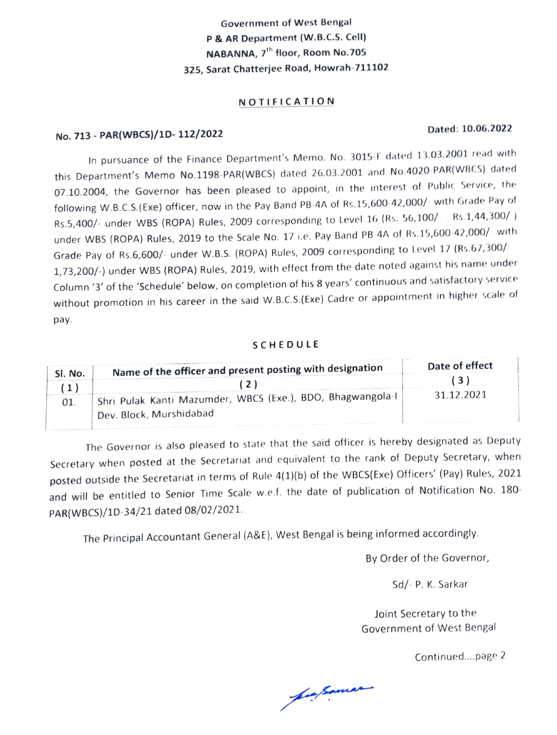## Government of West Bengal P & AR Department (W.B.C.S. Cell) NABANNA, 7<sup>th</sup> floor, Room No.705 325, Sarat Chatterjee Road, Howrah-711102

### NOTIFICATION

# Dated: 10.06.2022 No. 713 PAR(WBCS)/1D- 112/2022

In pursuance of the Finance Department's Memo. No. 3015-F dated 13.03.2001 read with this Department's Memo No.1198-PAR(WBCS) dated 26.03.2001 and No.4020 PAR(WBCS) dated 07.10.2004, the Governor has been pleased to appoint, in the interest of Public Service, the following W.B.C.S. (Exe) officer, now in the Pay Band PB-4A of Rs.15,600-42,000/- with Grade Pay of Rs.5,400/- under WBS (ROPA) Rules, 2009 corresponding to Level 16 (Rs. 56,100/ - Rs.1,44,300/ ) under WBS (ROPA) Rules, 2019 to the Scale No. 17 i.e. Pay Band PB-4A of Rs.15,600-42,000/ with Grade Pay of Rs.6,600/- under W.B.S. (ROPA) Rules, 2009 corresponding to Level 17 (Rs.67,300/ 1,73,200/-) under WBS (ROPA) Rules, 2019, with effect from the date noted against his name under Column '3' of the 'Schedule' below, on completion of his 8 years' continuous and satisfactory service without promotion in his career in the said W.B.C.S.(Exe) Cadre or appointment in higher scale of pay.

### SCHEDULE

| SI. No. | Name of the officer and present posting with designation    | Date of effect |
|---------|-------------------------------------------------------------|----------------|
|         |                                                             |                |
| 01      | Shri Pulak Kanti Mazumder, WBCS (Exe.), BDO, Bhagwangola-I, | 31 12 2021     |
|         | Dev. Block, Murshidabad                                     |                |

The Governor is also pleased to state that the said officer is hereby designated as Deputy Secretary when posted at the Secretariat and equivalent to the rank of Deputy Secretary, when posted outside the Secretariat in terms of Rule 4(1)(b) of the WBCS(Exe) Officers' (Pay) Rules, 2021 and will be entitled to Senior Time Scale w.e.f. the date of publication of Notification No. 180-PAR(WBCS)/1D-34/21 dated 08/02/2021.

The Principal Accountant General (A&E), West Bengal is being informed accordingly.

By Order of the Governor,

Sd/- P. K. Sarkar

Joint Secretary to the Government of West Bengal

Continued... page 2

Lasrnan-